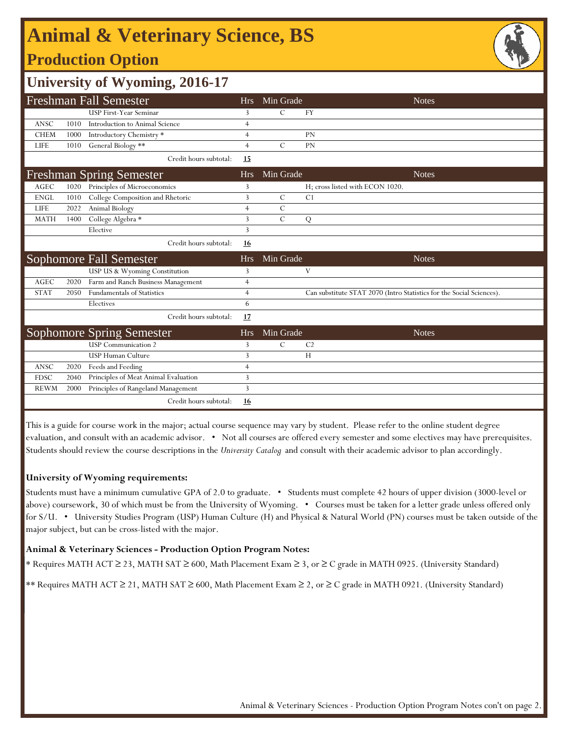## **Production Option Animal & Veterinary Science, BS**



### **University of Wyoming, 2016-17**

|             |      | <b>Freshman Fall Semester</b>        | Hrs            | Min Grade     |                | <b>Notes</b>                                                         |
|-------------|------|--------------------------------------|----------------|---------------|----------------|----------------------------------------------------------------------|
|             |      | USP First-Year Seminar               | 3              | C             | <b>FY</b>      |                                                                      |
| <b>ANSC</b> | 1010 | Introduction to Animal Science       | $\overline{4}$ |               |                |                                                                      |
| <b>CHEM</b> | 1000 | Introductory Chemistry *             | $\overline{4}$ |               | <b>PN</b>      |                                                                      |
| <b>LIFE</b> | 1010 | General Biology **                   | $\overline{4}$ | $\mathcal{C}$ | <b>PN</b>      |                                                                      |
|             |      | Credit hours subtotal:               | 15             |               |                |                                                                      |
|             |      | <b>Freshman Spring Semester</b>      | <b>Hrs</b>     | Min Grade     |                | <b>Notes</b>                                                         |
| AGEC        | 1020 | Principles of Microeconomics         | 3              |               |                | H; cross listed with ECON 1020.                                      |
| <b>ENGL</b> | 1010 | College Composition and Rhetoric     | 3              | $\mathcal{C}$ | C <sub>1</sub> |                                                                      |
| <b>LIFE</b> | 2022 | Animal Biology                       | $\overline{4}$ | $\mathsf{C}$  |                |                                                                      |
| <b>MATH</b> | 1400 | College Algebra *                    | 3              | $\mathsf{C}$  | Q              |                                                                      |
|             |      | Elective                             | 3              |               |                |                                                                      |
|             |      | Credit hours subtotal:               | 16             |               |                |                                                                      |
|             |      |                                      |                |               |                |                                                                      |
|             |      | Sophomore Fall Semester              | <b>Hrs</b>     | Min Grade     |                | <b>Notes</b>                                                         |
|             |      | USP US & Wyoming Constitution        | 3              |               | V              |                                                                      |
| <b>AGEC</b> | 2020 | Farm and Ranch Business Management   | $\overline{4}$ |               |                |                                                                      |
| <b>STAT</b> | 2050 | <b>Fundamentals of Statistics</b>    | $\overline{4}$ |               |                | Can substitute STAT 2070 (Intro Statistics for the Social Sciences). |
|             |      | Electives                            | 6              |               |                |                                                                      |
|             |      | Credit hours subtotal:               | 17             |               |                |                                                                      |
|             |      | <b>Sophomore Spring Semester</b>     | <b>Hrs</b>     | Min Grade     |                | <b>Notes</b>                                                         |
|             |      | <b>USP</b> Communication 2           | 3              | $\mathcal{C}$ | C <sub>2</sub> |                                                                      |
|             |      | <b>USP Human Culture</b>             | 3              |               | H              |                                                                      |
| <b>ANSC</b> | 2020 | Feeds and Feeding                    | $\overline{4}$ |               |                |                                                                      |
| <b>FDSC</b> | 2040 | Principles of Meat Animal Evaluation | 3              |               |                |                                                                      |
| <b>REWM</b> | 2000 | Principles of Rangeland Management   | 3              |               |                |                                                                      |

This is a guide for course work in the major; actual course sequence may vary by student. Please refer to the online student degree evaluation, and consult with an academic advisor. • Not all courses are offered every semester and some electives may have prerequisites. Students should review the course descriptions in the *University Catalog* and consult with their academic advisor to plan accordingly.

### **University of Wyoming requirements:**

Students must have a minimum cumulative GPA of 2.0 to graduate. • Students must complete 42 hours of upper division (3000-level or above) coursework, 30 of which must be from the University of Wyoming. • Courses must be taken for a letter grade unless offered only for S/U. • University Studies Program (USP) Human Culture (H) and Physical & Natural World (PN) courses must be taken outside of the major subject, but can be cross-listed with the major.

### **Animal & Veterinary Sciences - Production Option Program Notes:**

\* Requires MATH ACT ≥ 23, MATH SAT ≥ 600, Math Placement Exam ≥ 3, or ≥ C grade in MATH 0925. (University Standard)

\*\* Requires MATH ACT ≥ 21, MATH SAT ≥ 600, Math Placement Exam ≥ 2, or ≥ C grade in MATH 0921. (University Standard)